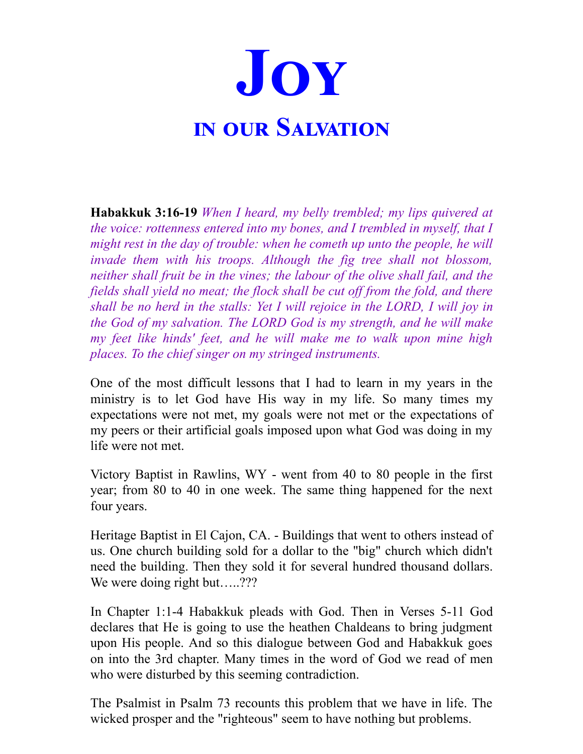

**Habakkuk 3:16-19** *When I heard, my belly trembled; my lips quivered at the voice: rottenness entered into my bones, and I trembled in myself, that I might rest in the day of trouble: when he cometh up unto the people, he will invade them with his troops. Although the fig tree shall not blossom, neither shall fruit be in the vines; the labour of the olive shall fail, and the fields shall yield no meat; the flock shall be cut of from the fold, and there shall be no herd in the stalls: Yet I will rejoice in the LORD, I will joy in the God of my salvation. The LORD God is my strength, and he will make my feet like hinds' feet, and he will make me to walk upon mine high places. To the chief singer on my stringed instruments.*

One of the most difficult lessons that I had to learn in my years in the ministry is to let God have His way in my life. So many times my expectations were not met, my goals were not met or the expectations of my peers or their artificial goals imposed upon what God was doing in my life were not met.

Victory Baptist in Rawlins, WY - went from 40 to 80 people in the first year; from 80 to 40 in one week. The same thing happened for the next four years.

Heritage Baptist in El Cajon, CA. - Buildings that went to others instead of us. One church building sold for a dollar to the "big" church which didn't need the building. Then they sold it for several hundred thousand dollars. We were doing right but.....???

In Chapter 1:1-4 Habakkuk pleads with God. Then in Verses 5-11 God declares that He is going to use the heathen Chaldeans to bring judgment upon His people. And so this dialogue between God and Habakkuk goes on into the 3rd chapter. Many times in the word of God we read of men who were disturbed by this seeming contradiction.

The Psalmist in Psalm 73 recounts this problem that we have in life. The wicked prosper and the "righteous" seem to have nothing but problems.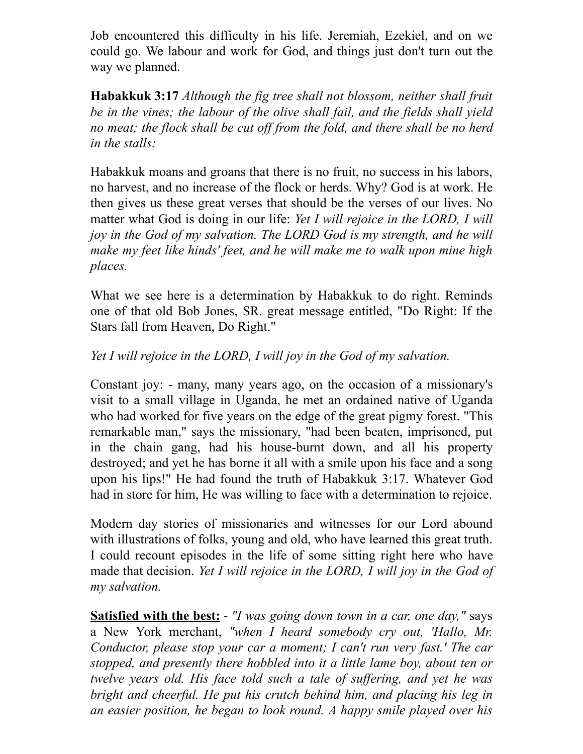Job encountered this difficulty in his life. Jeremiah, Ezekiel, and on we could go. We labour and work for God, and things just don't turn out the way we planned.

**Habakkuk 3:17** *Although the fig tree shall not blossom, neither shall fruit be in the vines; the labour of the olive shall fail, and the fields shall yield no meat; the flock shall be cut of from the fold, and there shall be no herd in the stalls:*

Habakkuk moans and groans that there is no fruit, no success in his labors, no harvest, and no increase of the flock or herds. Why? God is at work. He then gives us these great verses that should be the verses of our lives. No matter what God is doing in our life: *Yet I will rejoice in the LORD, I will joy in the God of my salvation. The LORD God is my strength, and he will make my feet like hinds' feet, and he will make me to walk upon mine high places.*

What we see here is a determination by Habakkuk to do right. Reminds one of that old Bob Jones, SR. great message entitled, "Do Right: If the Stars fall from Heaven, Do Right."

## *Yet I will rejoice in the LORD, I will joy in the God of my salvation.*

Constant joy: - many, many years ago, on the occasion of a missionary's visit to a small village in Uganda, he met an ordained native of Uganda who had worked for five years on the edge of the great pigmy forest. "This remarkable man," says the missionary, "had been beaten, imprisoned, put in the chain gang, had his house-burnt down, and all his property destroyed; and yet he has borne it all with a smile upon his face and a song upon his lips!" He had found the truth of Habakkuk 3:17. Whatever God had in store for him, He was willing to face with a determination to rejoice.

Modern day stories of missionaries and witnesses for our Lord abound with illustrations of folks, young and old, who have learned this great truth. I could recount episodes in the life of some sitting right here who have made that decision. *Yet I will rejoice in the LORD, I will joy in the God of my salvation.*

**Satisfied with the best:** - *"I was going down town in a car, one day,"* says a New York merchant, *"when I heard somebody cry out, 'Hallo, Mr. Conductor, please stop your car a moment; I can't run very fast.' The car stopped, and presently there hobbled into it a little lame boy, about ten or twelve years old. His face told such a tale of suf ering, and yet he was bright and cheerful. He put his crutch behind him, and placing his leg in an easier position, he began to look round. A happy smile played over his*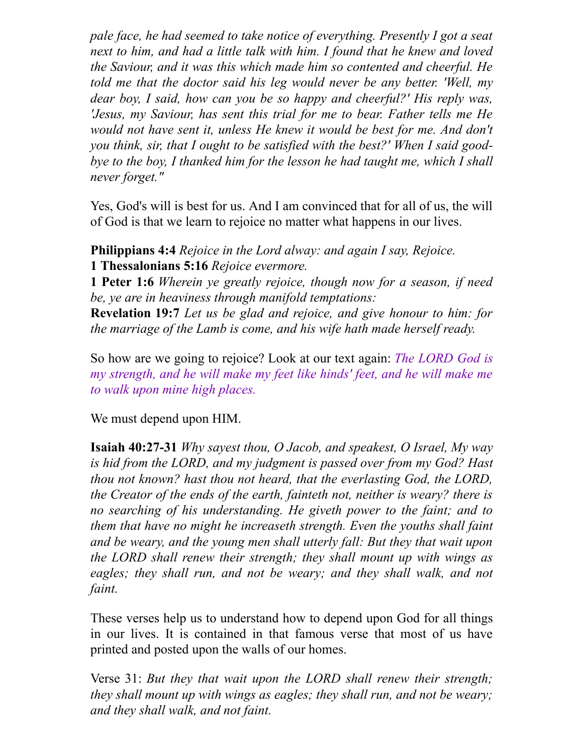*pale face, he had seemed to take notice of everything. Presently I got a seat next to him, and had a little talk with him. I found that he knew and loved the Saviour, and it was this which made him so contented and cheerful. He told me that the doctor said his leg would never be any better. 'Well, my dear boy, I said, how can you be so happy and cheerful?' His reply was, 'Jesus, my Saviour, has sent this trial for me to bear. Father tells me He would not have sent it, unless He knew it would be best for me. And don't you think, sir, that I ought to be satisfied with the best?' When I said goodbye to the boy, I thanked him for the lesson he had taught me, which I shall never forget."*

Yes, God's will is best for us. And I am convinced that for all of us, the will of God is that we learn to rejoice no matter what happens in our lives.

**Philippians 4:4** *Rejoice in the Lord alway: and again I say, Rejoice.* **1 Thessalonians 5:16** *Rejoice evermore.*

**1 Peter 1:6** *Wherein ye greatly rejoice, though now for a season, if need be, ye are in heaviness through manifold temptations:*

**Revelation 19:7** *Let us be glad and rejoice, and give honour to him: for the marriage of the Lamb is come, and his wife hath made herself ready.*

So how are we going to rejoice? Look at our text again: *The LORD God is my strength, and he will make my feet like hinds' feet, and he will make me to walk upon mine high places.*

We must depend upon HIM.

**Isaiah 40:27-31** *Why sayest thou, O Jacob, and speakest, O Israel, My way is hid from the LORD, and my judgment is passed over from my God? Hast thou not known? hast thou not heard, that the everlasting God, the LORD, the Creator of the ends of the earth, fainteth not, neither is weary? there is no searching of his understanding. He giveth power to the faint; and to them that have no might he increaseth strength. Even the youths shall faint and be weary, and the young men shall utterly fall: But they that wait upon the LORD shall renew their strength; they shall mount up with wings as eagles; they shall run, and not be weary; and they shall walk, and not faint.*

These verses help us to understand how to depend upon God for all things in our lives. It is contained in that famous verse that most of us have printed and posted upon the walls of our homes.

Verse 31: *But they that wait upon the LORD shall renew their strength; they shall mount up with wings as eagles; they shall run, and not be weary; and they shall walk, and not faint.*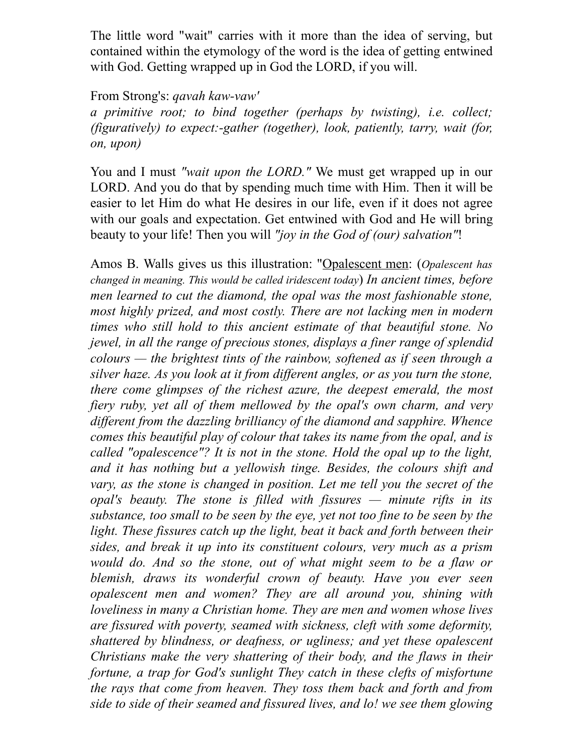The little word "wait" carries with it more than the idea of serving, but contained within the etymology of the word is the idea of getting entwined with God. Getting wrapped up in God the LORD, if you will.

## From Strong's: *qavah kaw-vaw'*

*a primitive root; to bind together (perhaps by twisting), i.e. collect; (figuratively) to expect:-gather (together), look, patiently, tarry, wait (for, on, upon)*

You and I must *"wait upon the LORD."* We must get wrapped up in our LORD. And you do that by spending much time with Him. Then it will be easier to let Him do what He desires in our life, even if it does not agree with our goals and expectation. Get entwined with God and He will bring beauty to your life! Then you will *"joy in the God of (our) salvation"*!

Amos B. Walls gives us this illustration: "Opalescent men: (*Opalescent has changed in meaning. This would be called iridescent today*) *In ancient times, before men learned to cut the diamond, the opal was the most fashionable stone, most highly prized, and most costly. There are not lacking men in modern times who still hold to this ancient estimate of that beautiful stone. No jewel, in all the range of precious stones, displays a finer range of splendid colours — the brightest tints of the rainbow, softened as if seen through a silver haze. As you look at it from dif erent angles, or as you turn the stone, there come glimpses of the richest azure, the deepest emerald, the most fiery ruby, yet all of them mellowed by the opal's own charm, and very dif erent from the dazzling brilliancy of the diamond and sapphire. Whence comes this beautiful play of colour that takes its name from the opal, and is called "opalescence"? It is not in the stone. Hold the opal up to the light, and it has nothing but a yellowish tinge. Besides, the colours shift and vary, as the stone is changed in position. Let me tell you the secret of the opal's beauty. The stone is filled with fissures — minute rifts in its substance, too small to be seen by the eye, yet not too fine to be seen by the light. These fissures catch up the light, beat it back and forth between their sides, and break it up into its constituent colours, very much as a prism would do. And so the stone, out of what might seem to be a flaw or blemish, draws its wonderful crown of beauty. Have you ever seen opalescent men and women? They are all around you, shining with loveliness in many a Christian home. They are men and women whose lives are fissured with poverty, seamed with sickness, cleft with some deformity, shattered by blindness, or deafness, or ugliness; and yet these opalescent Christians make the very shattering of their body, and the flaws in their fortune, a trap for God's sunlight They catch in these clefts of misfortune the rays that come from heaven. They toss them back and forth and from side to side of their seamed and fissured lives, and lo! we see them glowing*